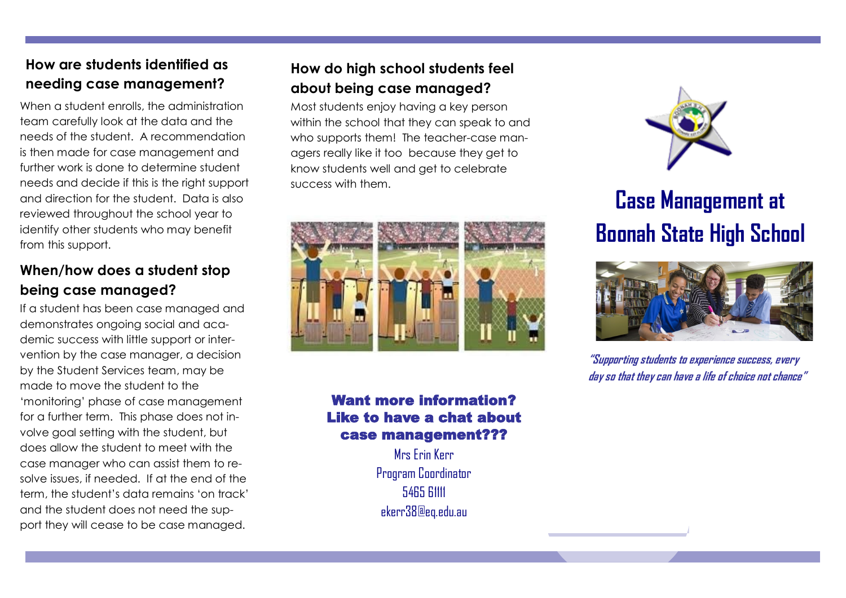# **How are students identified as needing case management?**

When a student enrolls, the administration team carefully look at the data and the needs of the student. A recommendation is then made for case management and further work is done to determine student needs and decide if this is the right support and direction for the student. Data is also reviewed throughout the school year to identify other students who may benefit from this support.

### **When/how does a student stop being case managed?**

If a student has been case managed and demonstrates ongoing social and academic success with little support or intervention by the case manager, a decision by the Student Services team, may be made to move the student to the 'monitoring' phase of case management for a further term. This phase does not involve goal setting with the student, but does allow the student to meet with the case manager who can assist them to resolve issues, if needed. If at the end of the term, the student's data remains 'on track' and the student does not need the support they will cease to be case managed.

### **How do high school students feel about being case managed?**

Most students enjoy having a key person within the school that they can speak to and who supports them! The teacher-case managers really like it too because they get to know students well and get to celebrate success with them.



#### Want more information? Like to have a chat about case management???

Mrs Erin Kerr Program Coordinator 5465 61111 ekerr38@eq.edu.au



# **Case Management at Boonah State High School**



**"Supporting students to experience success, every day so that they can have a life of choice not chance"**